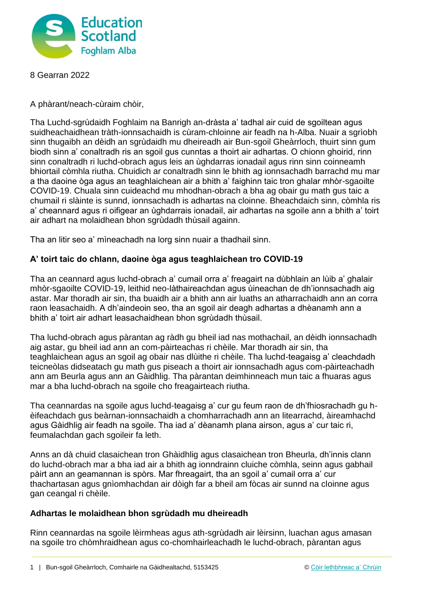

8 Gearran 2022

A phàrant/neach-cùraim chòir,

Tha Luchd-sgrùdaidh Foghlaim na Banrigh an-dràsta a' tadhal air cuid de sgoiltean agus suidheachaidhean tràth-ionnsachaidh is cùram-chloinne air feadh na h-Alba. Nuair a sgrìobh sinn thugaibh an dèidh an sgrùdaidh mu dheireadh air Bun-sgoil Gheàrrloch, thuirt sinn gum biodh sinn a' conaltradh ris an sgoil gus cunntas a thoirt air adhartas. O chionn ghoirid, rinn sinn conaltradh ri luchd-obrach agus leis an ùghdarras ionadail agus rinn sinn coinneamh bhiortail còmhla riutha. Chuidich ar conaltradh sinn le bhith ag ionnsachadh barrachd mu mar a tha daoine òga agus an teaghlaichean air a bhith a' faighinn taic tron ghalar mhòr-sgaoilte COVID-19. Chuala sinn cuideachd mu mhodhan-obrach a bha ag obair gu math gus taic a chumail ri slàinte is sunnd, ionnsachadh is adhartas na cloinne. Bheachdaich sinn, còmhla ris a' cheannard agus ri oifigear an ùghdarrais ionadail, air adhartas na sgoile ann a bhith a' toirt air adhart na molaidhean bhon sgrùdadh thùsail againn.

Tha an litir seo a' mìneachadh na lorg sinn nuair a thadhail sinn.

## **A' toirt taic do chlann, daoine òga agus teaghlaichean tro COVID-19**

Tha an ceannard agus luchd-obrach a' cumail orra a' freagairt na dùbhlain an lùib a' ghalair mhòr-sgaoilte COVID-19, leithid neo-làthaireachdan agus ùineachan de dh'ionnsachadh aig astar. Mar thoradh air sin, tha buaidh air a bhith ann air luaths an atharrachaidh ann an corra raon leasachaidh. A dh'aindeoin seo, tha an sgoil air deagh adhartas a dhèanamh ann a bhith a' toirt air adhart leasachaidhean bhon sgrùdadh thùsail.

Tha luchd-obrach agus pàrantan ag ràdh gu bheil iad nas mothachail, an dèidh ionnsachadh aig astar, gu bheil iad ann an com-pàirteachas ri chèile. Mar thoradh air sin, tha teaghlaichean agus an sgoil ag obair nas dlùithe ri chèile. Tha luchd-teagaisg a' cleachdadh teicneòlas didseatach gu math gus piseach a thoirt air ionnsachadh agus com-pàirteachadh ann am Beurla agus ann an Gàidhlig. Tha pàrantan deimhinneach mun taic a fhuaras agus mar a bha luchd-obrach na sgoile cho freagairteach riutha.

Tha ceannardas na sgoile agus luchd-teagaisg a' cur gu feum raon de dh'fhiosrachadh gu hèifeachdach gus beàrnan-ionnsachaidh a chomharrachadh ann an litearrachd, àireamhachd agus Gàidhlig air feadh na sgoile. Tha iad a' dèanamh plana airson, agus a' cur taic ri, feumalachdan gach sgoileir fa leth.

Anns an dà chuid clasaichean tron Ghàidhlig agus clasaichean tron Bheurla, dh'innis clann do luchd-obrach mar a bha iad air a bhith ag ionndrainn cluiche còmhla, seinn agus gabhail pàirt ann an geamannan is spòrs. Mar fhreagairt, tha an sgoil a' cumail orra a' cur thachartasan agus gnìomhachdan air dòigh far a bheil am fòcas air sunnd na cloinne agus gan ceangal ri chèile.

## **Adhartas le molaidhean bhon sgrùdadh mu dheireadh**

Rinn ceannardas na sgoile lèirmheas agus ath-sgrùdadh air lèirsinn, luachan agus amasan na sgoile tro chòmhraidhean agus co-chomhairleachadh le luchd-obrach, pàrantan agus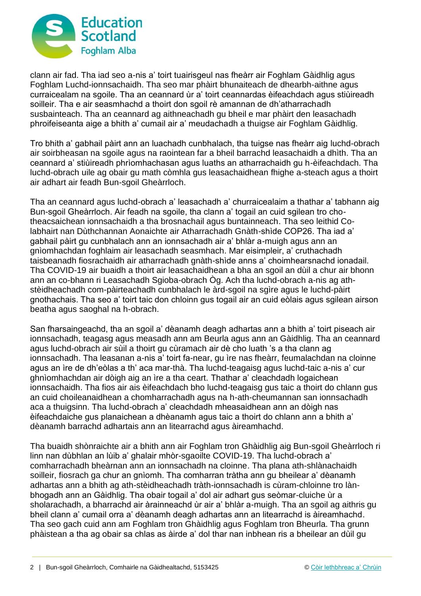

clann air fad. Tha iad seo a-nis a' toirt tuairisgeul nas fheàrr air Foghlam Gàidhlig agus Foghlam Luchd-ionnsachaidh. Tha seo mar phàirt bhunaiteach de dhearbh-aithne agus curraicealam na sgoile. Tha an ceannard ùr a' toirt ceannardas èifeachdach agus stiùireadh soilleir. Tha e air seasmhachd a thoirt don sgoil rè amannan de dh'atharrachadh susbainteach. Tha an ceannard ag aithneachadh gu bheil e mar phàirt den leasachadh phroifeiseanta aige a bhith a' cumail air a' meudachadh a thuigse air Foghlam Gàidhlig.

Tro bhith a' gabhail pàirt ann an luachadh cunbhalach, tha tuigse nas fheàrr aig luchd-obrach air soirbheasan na sgoile agus na raointean far a bheil barrachd leasachaidh a dhìth. Tha an ceannard a' stiùireadh phrìomhachasan agus luaths an atharrachaidh gu h-èifeachdach. Tha luchd-obrach uile ag obair gu math còmhla gus leasachaidhean fhighe a-steach agus a thoirt air adhart air feadh Bun-sgoil Gheàrrloch.

Tha an ceannard agus luchd-obrach a' leasachadh a' churraicealaim a thathar a' tabhann aig Bun-sgoil Gheàrrloch. Air feadh na sgoile, tha clann a' togail an cuid sgilean tro chotheacsaichean ionnsachaidh a tha brosnachail agus buntainneach. Tha seo leithid Colabhairt nan Dùthchannan Aonaichte air Atharrachadh Gnàth-shìde COP26. Tha iad a' gabhail pàirt gu cunbhalach ann an ionnsachadh air a' bhlàr a-muigh agus ann an gnìomhachdan foghlaim air leasachadh seasmhach. Mar eisimpleir, a' cruthachadh taisbeanadh fiosrachaidh air atharrachadh gnàth-shìde anns a' choimhearsnachd ionadail. Tha COVID-19 air buaidh a thoirt air leasachaidhean a bha an sgoil an dùil a chur air bhonn ann an co-bhann ri Leasachadh Sgioba-obrach Òg. Ach tha luchd-obrach a-nis ag athstèidheachadh com-pàirteachadh cunbhalach le àrd-sgoil na sgìre agus le luchd-pàirt gnothachais. Tha seo a' toirt taic don chloinn gus togail air an cuid eòlais agus sgilean airson beatha agus saoghal na h-obrach.

San fharsaingeachd, tha an sgoil a' dèanamh deagh adhartas ann a bhith a' toirt piseach air ionnsachadh, teagasg agus measadh ann am Beurla agus ann an Gàidhlig. Tha an ceannard agus luchd-obrach air sùil a thoirt gu cùramach air dè cho luath 's a tha clann ag ionnsachadh. Tha leasanan a-nis a' toirt fa-near, gu ìre nas fheàrr, feumalachdan na cloinne agus an ìre de dh'eòlas a th' aca mar-thà. Tha luchd-teagaisg agus luchd-taic a-nis a' cur ghnìomhachdan air dòigh aig an ìre a tha ceart. Thathar a' cleachdadh logaichean ionnsachaidh. Tha fios air ais èifeachdach bho luchd-teagaisg gus taic a thoirt do chlann gus an cuid choileanaidhean a chomharrachadh agus na h-ath-cheumannan san ionnsachadh aca a thuigsinn. Tha luchd-obrach a' cleachdadh mheasaidhean ann an dòigh nas èifeachdaiche gus planaichean a dhèanamh agus taic a thoirt do chlann ann a bhith a' dèanamh barrachd adhartais ann an litearrachd agus àireamhachd.

Tha buaidh shònraichte air a bhith ann air Foghlam tron Ghàidhlig aig Bun-sgoil Gheàrrloch ri linn nan dùbhlan an lùib a' ghalair mhòr-sgaoilte COVID-19. Tha luchd-obrach a' comharrachadh bheàrnan ann an ionnsachadh na cloinne. Tha plana ath-shlànachaidh soilleir, fiosrach ga chur an gnìomh. Tha comharran tràtha ann gu bheilear a' dèanamh adhartas ann a bhith ag ath-stèidheachadh tràth-ionnsachadh is cùram-chloinne tro lànbhogadh ann an Gàidhlig. Tha obair togail a' dol air adhart gus seòmar-cluiche ùr a sholarachadh, a bharrachd air àrainneachd ùr air a' bhlàr a-muigh. Tha an sgoil ag aithris gu bheil clann a' cumail orra a' dèanamh deagh adhartas ann an litearrachd is àireamhachd. Tha seo gach cuid ann am Foghlam tron Ghàidhlig agus Foghlam tron Bheurla. Tha grunn phàistean a tha ag obair sa chlas as àirde a' dol thar nan inbhean ris a bheilear an dùil gu